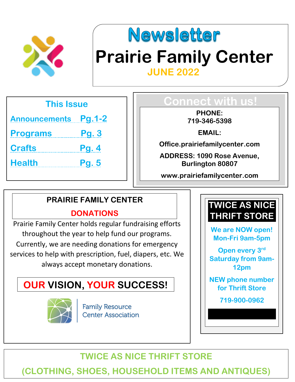



# **Prairie Family Center JUNE 2022**

**This Issue**

**Announcements Pg.1-2**

**Programs Pg. 3**

**Crafts Pg. 4**

**Health Pg. 5**

### **Connect with us!**

**PHONE: 719-346-5398**

**EMAIL:**

**Office.prairiefamilycenter.com**

**ADDRESS: 1090 Rose Avenue, Burlington 80807**

**www.prairiefamilycenter.com**

#### **PRAIRIE FAMILY CENTER**

#### **DONATIONS**

Prairie Family Center holds regular fundraising efforts throughout the year to help fund our programs. Currently, we are needing donations for emergency services to help with prescription, fuel, diapers, etc. We always accept monetary donations.

### **OUR VISION, YOUR SUCCESS!**



**Family Resource Center Association** 



**We are NOW open! Mon-Fri 9am-5pm**

**Open every 3rd Saturday from 9am-12pm**

**NEW phone number for Thrift Store**

**719-900-0962**

### **TWICE AS NICE THRIFT STORE**

**rairiefamilycenter.com (CLOTHING, SHOES, HOUSEHOLD ITEMS AND ANTIQUES)**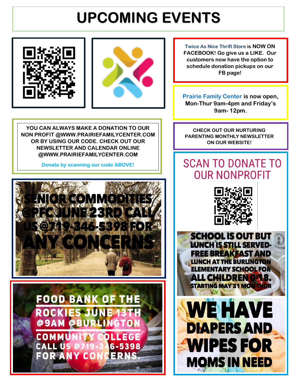# **UPCOMING EVENTS**





**Twice As Nice Thrift Store is NOW ON FACEBOOK! Go give us a LIKE. Our customers now have the option to schedule donation pickups on our FB page!**

**Prairie Family Center is now open, Mon-Thur 9am-4pm and Friday's 9am- 12pm.**

**YOU CAN ALWAYS MAKE A DONATION TO OUR NON PROFIT @WWW.PRAIRIEFAMILYCENTER.COM OR BY USING OUR CODE. CHECK OUT OUR NEWSLETTER AND CALENDAR ONLINE @WWW.PRAIRIEFAMILYCENTER.COM**

**Donate by scanning our code ABOVE!**





**CHECK OUT OUR NURTURING PARENTING MONTHLY NEWSLETTER ON OUR WEBSITE!**

## **SCAN TO DONATE TO OUR NONPROFIT**



**SCHOOL IS OUT BUT** LUNCH IS STILL SERVED-**FREE BREAKFAST AND LUNCH AT THE BURLINGTON ELEMENTARY SCHOOL FOR** ALL CHILDREN 0148. **STARTING MAY 31 MON-THUR** 

**WE HAVE** 

**DIAPERS AND** 

**WIPES FOR** 

**MOMS IN NEED**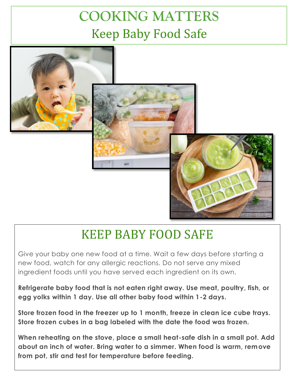## **COOKING MATTERS**  Keep Baby Food Safe



## KEEP BABY FOOD SAFE

Give your baby one new food at a time. Wait a few days before starting a new food, watch for any allergic reactions. Do not serve any mixed ingredient foods until you have served each ingredient on its own.

**Refrigerate baby food that is not eaten right away. Use meat, poultry, fish, or egg yolks within 1 day. Use all other baby food within 1-2 days.**

**Store frozen food in the freezer up to 1 month, freeze in clean ice cube trays. Store frozen cubes in a bag labeled with the date the food was frozen.**

**When reheating on the stove, place a small heat-safe dish in a small pot. Add about an inch of water. Bring water to a simmer. When food is warm, remove from pot, stir and test for temperature before feeding.**